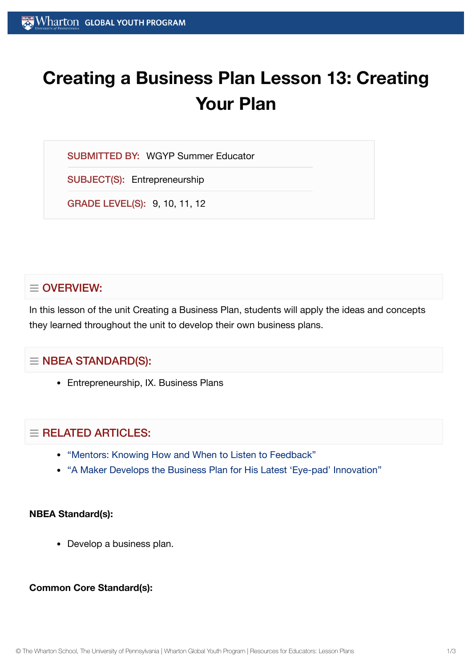# **Creating a Business Plan Lesson 13: Creating Your Plan**

SUBMITTED BY: WGYP Summer Educator

SUBJECT(S): Entrepreneurship

GRADE LEVEL(S): 9, 10, 11, 12

# $\equiv$  OVERVIEW:

In this lesson of the unit Creating a Business Plan, students will apply the ideas and concepts they learned throughout the unit to develop their own business plans.

# $\equiv$  NBEA STANDARD(S):

• Entrepreneurship, IX. Business Plans

# $\equiv$  RELATED ARTICLES:

- "Mentors: Knowing How and When to Listen to [Feedback"](https://globalyouth.wharton.upenn.edu/articles/mentors-knowing-listen-feedback-advice/)
- "A Maker Develops the [Business Plan](https://globalyouth.wharton.upenn.edu/articles/young-maker-develops-business-plan-latest-eye-pad-innovation/) for His Latest 'Eye-pad' Innovation"

#### **NBEA Standard(s):**

Develop a business plan.

#### **Common Core Standard(s):**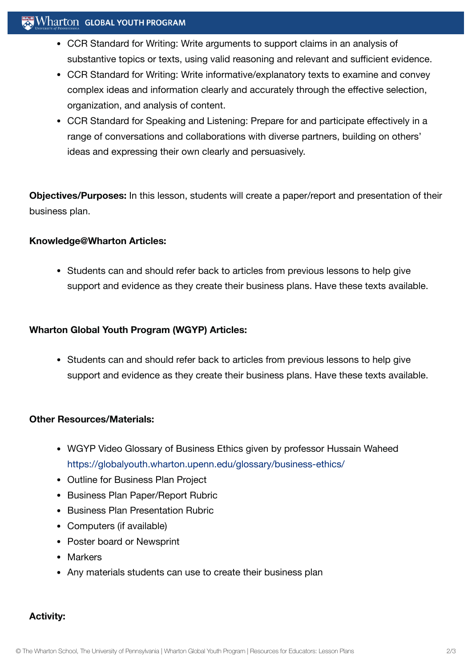# $\mathbb{R}$  Wharton Global Youth Program

- CCR Standard for Writing: Write arguments to support claims in an analysis of substantive topics or texts, using valid reasoning and relevant and sufficient evidence.
- CCR Standard for Writing: Write informative/explanatory texts to examine and convey complex ideas and information clearly and accurately through the effective selection, organization, and analysis of content.
- CCR Standard for Speaking and Listening: Prepare for and participate effectively in a range of conversations and collaborations with diverse partners, building on others' ideas and expressing their own clearly and persuasively.

**Objectives/Purposes:** In this lesson, students will create a paper/report and presentation of their business plan.

#### **Knowledge@Wharton Articles:**

• Students can and should refer back to articles from previous lessons to help give support and evidence as they create their business plans. Have these texts available.

### **Wharton Global Youth Program (WGYP) Articles:**

• Students can and should refer back to articles from previous lessons to help give support and evidence as they create their business plans. Have these texts available.

#### **Other Resources/Materials:**

- WGYP Video Glossary of Business Ethics given by professor Hussain Waheed <https://globalyouth.wharton.upenn.edu/glossary/business-ethics/>
- Outline for Business Plan Project
- Business Plan Paper/Report Rubric
- Business Plan Presentation Rubric
- Computers (if available)
- Poster board or Newsprint
- Markers
- Any materials students can use to create their business plan

# **Activity:**